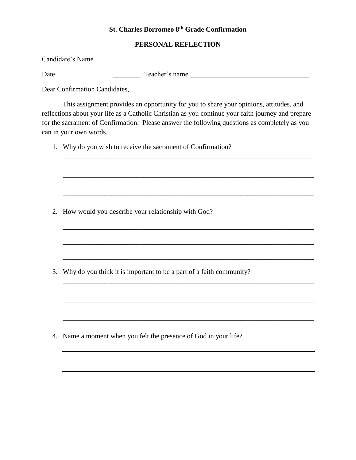## **St. Charles Borromeo 8th Grade Confirmation**

## **PERSONAL REFLECTION**

| Candidate's Name |  |
|------------------|--|
|------------------|--|

Date \_\_\_\_\_\_\_\_\_\_\_\_\_\_\_\_\_\_\_\_\_\_\_\_ Teacher's name \_\_\_\_\_\_\_\_\_\_\_\_\_\_\_\_\_\_\_\_\_\_\_\_\_\_\_\_\_\_\_\_\_\_

Dear Confirmation Candidates,

This assignment provides an opportunity for you to share your opinions, attitudes, and reflections about your life as a Catholic Christian as you continue your faith journey and prepare for the sacrament of Confirmation. Please answer the following questions as completely as you can in your own words.

\_\_\_\_\_\_\_\_\_\_\_\_\_\_\_\_\_\_\_\_\_\_\_\_\_\_\_\_\_\_\_\_\_\_\_\_\_\_\_\_\_\_\_\_\_\_\_\_\_\_\_\_\_\_\_\_\_\_\_\_\_\_\_\_\_\_\_\_\_\_\_\_

\_\_\_\_\_\_\_\_\_\_\_\_\_\_\_\_\_\_\_\_\_\_\_\_\_\_\_\_\_\_\_\_\_\_\_\_\_\_\_\_\_\_\_\_\_\_\_\_\_\_\_\_\_\_\_\_\_\_\_\_\_\_\_\_\_\_\_\_\_\_\_\_

\_\_\_\_\_\_\_\_\_\_\_\_\_\_\_\_\_\_\_\_\_\_\_\_\_\_\_\_\_\_\_\_\_\_\_\_\_\_\_\_\_\_\_\_\_\_\_\_\_\_\_\_\_\_\_\_\_\_\_\_\_\_\_\_\_\_\_\_\_\_\_\_

\_\_\_\_\_\_\_\_\_\_\_\_\_\_\_\_\_\_\_\_\_\_\_\_\_\_\_\_\_\_\_\_\_\_\_\_\_\_\_\_\_\_\_\_\_\_\_\_\_\_\_\_\_\_\_\_\_\_\_\_\_\_\_\_\_\_\_\_\_\_\_\_

\_\_\_\_\_\_\_\_\_\_\_\_\_\_\_\_\_\_\_\_\_\_\_\_\_\_\_\_\_\_\_\_\_\_\_\_\_\_\_\_\_\_\_\_\_\_\_\_\_\_\_\_\_\_\_\_\_\_\_\_\_\_\_\_\_\_\_\_\_\_\_\_

\_\_\_\_\_\_\_\_\_\_\_\_\_\_\_\_\_\_\_\_\_\_\_\_\_\_\_\_\_\_\_\_\_\_\_\_\_\_\_\_\_\_\_\_\_\_\_\_\_\_\_\_\_\_\_\_\_\_\_\_\_\_\_\_\_\_\_\_\_\_\_\_

1. Why do you wish to receive the sacrament of Confirmation?

2. How would you describe your relationship with God?

3. Why do you think it is important to be a part of a faith community?

4. Name a moment when you felt the presence of God in your life?